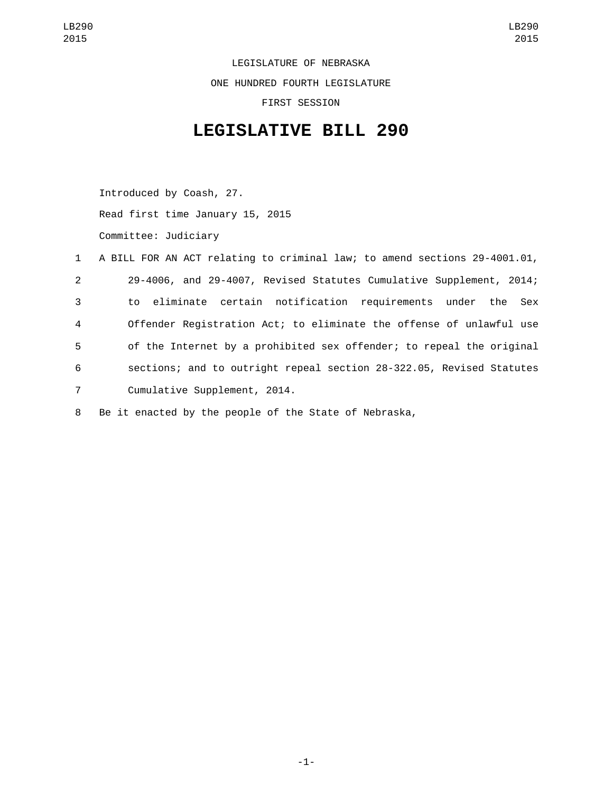LEGISLATURE OF NEBRASKA ONE HUNDRED FOURTH LEGISLATURE FIRST SESSION

## **LEGISLATIVE BILL 290**

Introduced by Coash, 27. Read first time January 15, 2015 Committee: Judiciary

|                | 1 A BILL FOR AN ACT relating to criminal law; to amend sections 29-4001.01, |
|----------------|-----------------------------------------------------------------------------|
| $\overline{2}$ | 29-4006, and 29-4007, Revised Statutes Cumulative Supplement, 2014;         |
| 3              | to eliminate certain notification requirements under the Sex                |
| 4              | Offender Registration Act; to eliminate the offense of unlawful use         |
| 5              | of the Internet by a prohibited sex offender; to repeal the original        |
| 6              | sections; and to outright repeal section 28-322.05, Revised Statutes        |
| $7^{\circ}$    | Cumulative Supplement, 2014.                                                |
|                |                                                                             |

8 Be it enacted by the people of the State of Nebraska,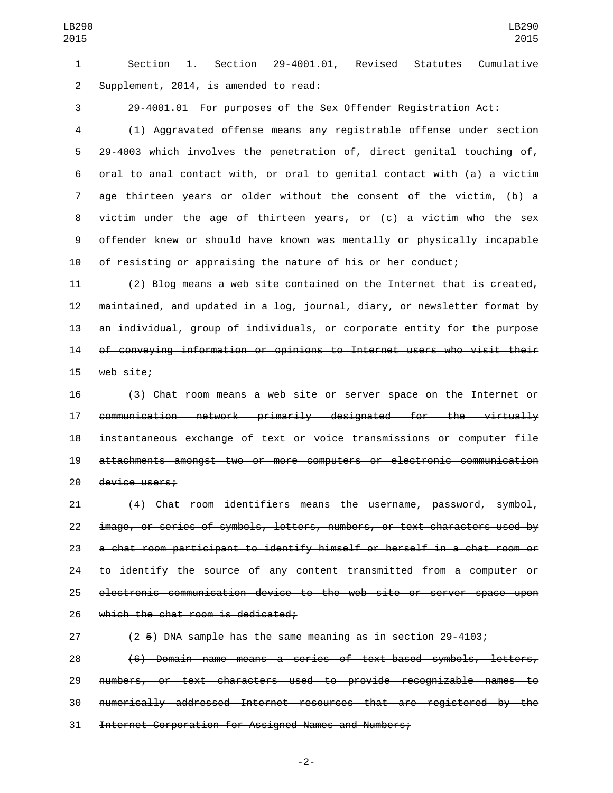Section 1. Section 29-4001.01, Revised Statutes Cumulative 2 Supplement, 2014, is amended to read:

29-4001.01 For purposes of the Sex Offender Registration Act:

 (1) Aggravated offense means any registrable offense under section 29-4003 which involves the penetration of, direct genital touching of, oral to anal contact with, or oral to genital contact with (a) a victim age thirteen years or older without the consent of the victim, (b) a victim under the age of thirteen years, or (c) a victim who the sex offender knew or should have known was mentally or physically incapable of resisting or appraising the nature of his or her conduct;

 (2) Blog means a web site contained on the Internet that is created, maintained, and updated in a log, journal, diary, or newsletter format by an individual, group of individuals, or corporate entity for the purpose of conveying information or opinions to Internet users who visit their 15 web site;

 (3) Chat room means a web site or server space on the Internet or communication network primarily designated for the virtually instantaneous exchange of text or voice transmissions or computer file attachments amongst two or more computers or electronic communication 20 device users;

 (4) Chat room identifiers means the username, password, symbol, image, or series of symbols, letters, numbers, or text characters used by a chat room participant to identify himself or herself in a chat room or to identify the source of any content transmitted from a computer or electronic communication device to the web site or server space upon 26 which the chat room is dedicated;

 (2 5) DNA sample has the same meaning as in section 29-4103; (6) Domain name means a series of text-based symbols, letters, numbers, or text characters used to provide recognizable names to numerically addressed Internet resources that are registered by the Internet Corporation for Assigned Names and Numbers;

-2-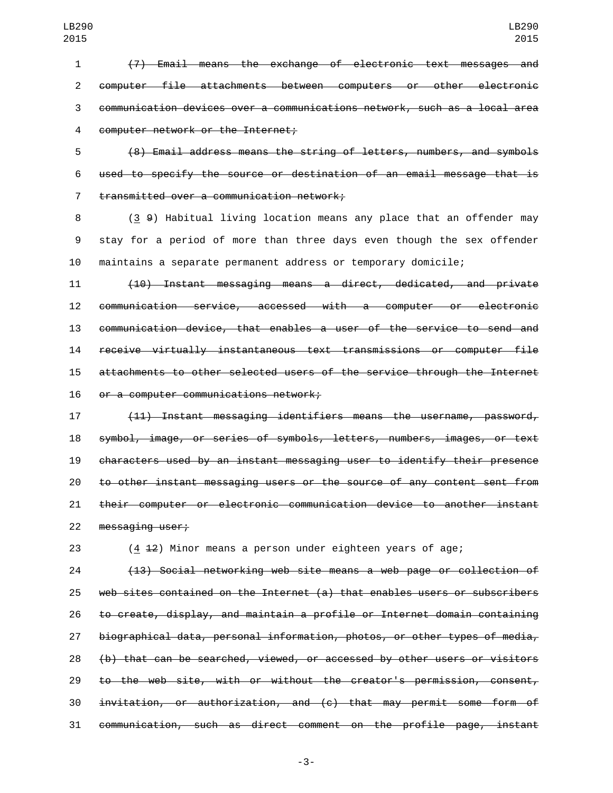(7) Email means the exchange of electronic text messages and computer file attachments between computers or other electronic communication devices over a communications network, such as a local area 4 computer network or the Internet;

 (8) Email address means the string of letters, numbers, and symbols used to specify the source or destination of an email message that is 7 transmitted over a communication network;

 (3 9) Habitual living location means any place that an offender may stay for a period of more than three days even though the sex offender maintains a separate permanent address or temporary domicile;

 (10) Instant messaging means a direct, dedicated, and private communication service, accessed with a computer or electronic communication device, that enables a user of the service to send and receive virtually instantaneous text transmissions or computer file attachments to other selected users of the service through the Internet 16 or a computer communications network;

 (11) Instant messaging identifiers means the username, password, symbol, image, or series of symbols, letters, numbers, images, or text characters used by an instant messaging user to identify their presence to other instant messaging users or the source of any content sent from their computer or electronic communication device to another instant 22 messaging user;

(4 12) Minor means a person under eighteen years of age;

 (13) Social networking web site means a web page or collection of web sites contained on the Internet (a) that enables users or subscribers to create, display, and maintain a profile or Internet domain containing biographical data, personal information, photos, or other types of media, (b) that can be searched, viewed, or accessed by other users or visitors to the web site, with or without the creator's permission, consent, invitation, or authorization, and (c) that may permit some form of communication, such as direct comment on the profile page, instant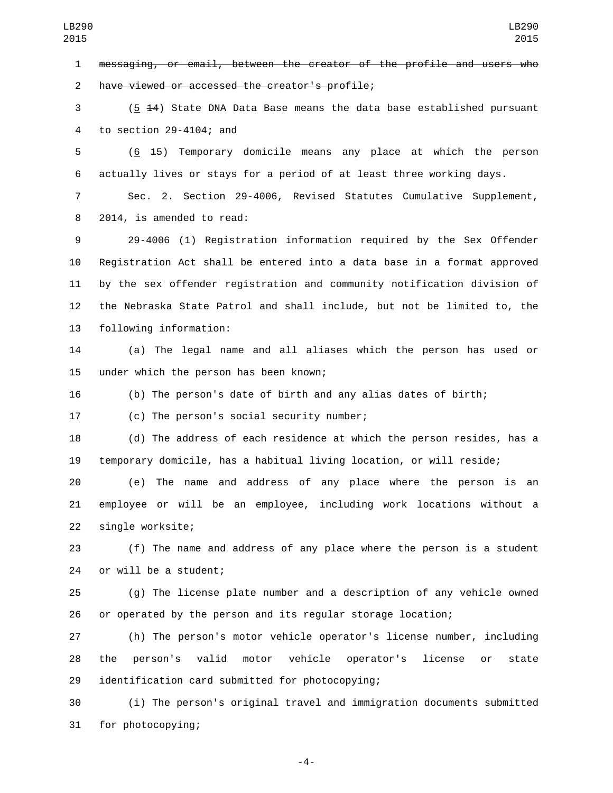messaging, or email, between the creator of the profile and users who 2 have viewed or accessed the creator's profile;

 (5 14) State DNA Data Base means the data base established pursuant 4 to section  $29-4104$ ; and

 (6 15) Temporary domicile means any place at which the person actually lives or stays for a period of at least three working days.

 Sec. 2. Section 29-4006, Revised Statutes Cumulative Supplement, 8 2014, is amended to read:

 29-4006 (1) Registration information required by the Sex Offender Registration Act shall be entered into a data base in a format approved by the sex offender registration and community notification division of the Nebraska State Patrol and shall include, but not be limited to, the 13 following information:

 (a) The legal name and all aliases which the person has used or 15 under which the person has been known;

(b) The person's date of birth and any alias dates of birth;

17 (c) The person's social security number;

 (d) The address of each residence at which the person resides, has a temporary domicile, has a habitual living location, or will reside;

 (e) The name and address of any place where the person is an employee or will be an employee, including work locations without a 22 single worksite;

 (f) The name and address of any place where the person is a student 24 or will be a student;

 (g) The license plate number and a description of any vehicle owned or operated by the person and its regular storage location;

 (h) The person's motor vehicle operator's license number, including the person's valid motor vehicle operator's license or state 29 identification card submitted for photocopying;

 (i) The person's original travel and immigration documents submitted 31 for photocopying;

-4-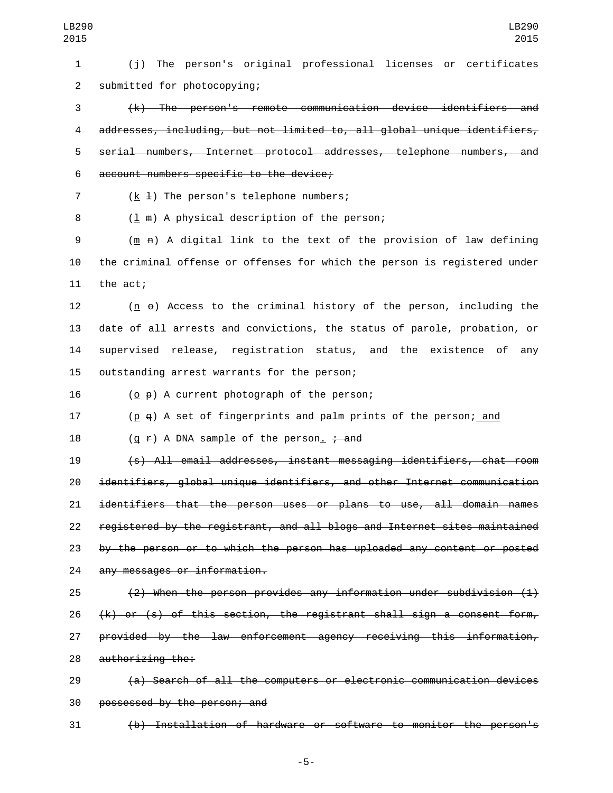(j) The person's original professional licenses or certificates 2 submitted for photocopying;

 (k) The person's remote communication device identifiers and addresses, including, but not limited to, all global unique identifiers, serial numbers, Internet protocol addresses, telephone numbers, and 6 account numbers specific to the device;

( $k \neq 1$ ) The person's telephone numbers;

8 (1 m) A physical description of the person;

 (m n) A digital link to the text of the provision of law defining the criminal offense or offenses for which the person is registered under 11 the act;

 (n o) Access to the criminal history of the person, including the date of all arrests and convictions, the status of parole, probation, or supervised release, registration status, and the existence of any 15 outstanding arrest warrants for the person;

(o  $\theta$ ) A current photograph of the person;

(p q) A set of fingerprints and palm prints of the person; and

18  $(g \neq)$  A DNA sample of the person<u>.</u>  $\div$  and

 (s) All email addresses, instant messaging identifiers, chat room identifiers, global unique identifiers, and other Internet communication identifiers that the person uses or plans to use, all domain names registered by the registrant, and all blogs and Internet sites maintained by the person or to which the person has uploaded any content or posted 24 any messages or information.

 $(2)$  When the person provides any information under subdivision  $(1)$  (k) or (s) of this section, the registrant shall sign a consent form, provided by the law enforcement agency receiving this information, 28 authorizing the:

 (a) Search of all the computers or electronic communication devices 30 possessed by the person; and

(b) Installation of hardware or software to monitor the person's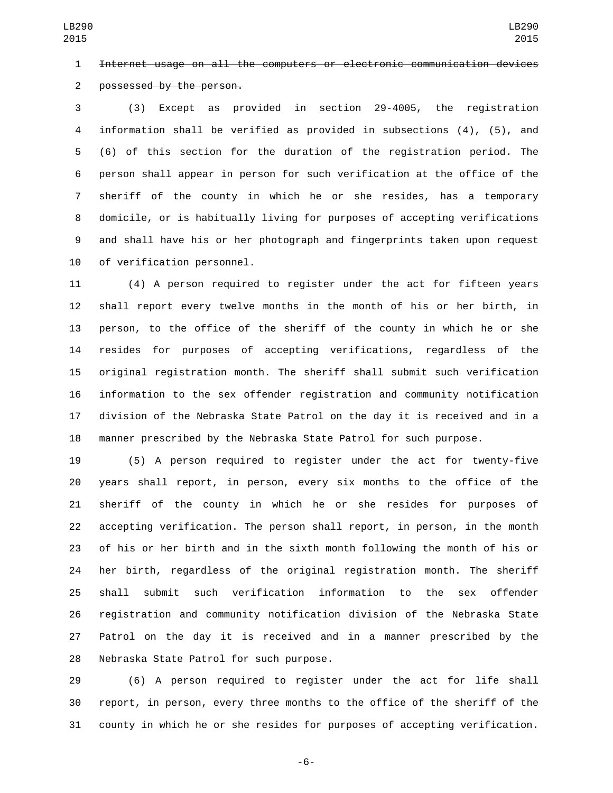Internet usage on all the computers or electronic communication devices

2 possessed by the person.

 (3) Except as provided in section 29-4005, the registration information shall be verified as provided in subsections (4), (5), and (6) of this section for the duration of the registration period. The person shall appear in person for such verification at the office of the sheriff of the county in which he or she resides, has a temporary domicile, or is habitually living for purposes of accepting verifications and shall have his or her photograph and fingerprints taken upon request 10 of verification personnel.

 (4) A person required to register under the act for fifteen years shall report every twelve months in the month of his or her birth, in person, to the office of the sheriff of the county in which he or she resides for purposes of accepting verifications, regardless of the original registration month. The sheriff shall submit such verification information to the sex offender registration and community notification division of the Nebraska State Patrol on the day it is received and in a manner prescribed by the Nebraska State Patrol for such purpose.

 (5) A person required to register under the act for twenty-five years shall report, in person, every six months to the office of the sheriff of the county in which he or she resides for purposes of accepting verification. The person shall report, in person, in the month of his or her birth and in the sixth month following the month of his or her birth, regardless of the original registration month. The sheriff shall submit such verification information to the sex offender registration and community notification division of the Nebraska State Patrol on the day it is received and in a manner prescribed by the 28 Nebraska State Patrol for such purpose.

 (6) A person required to register under the act for life shall report, in person, every three months to the office of the sheriff of the county in which he or she resides for purposes of accepting verification.

-6-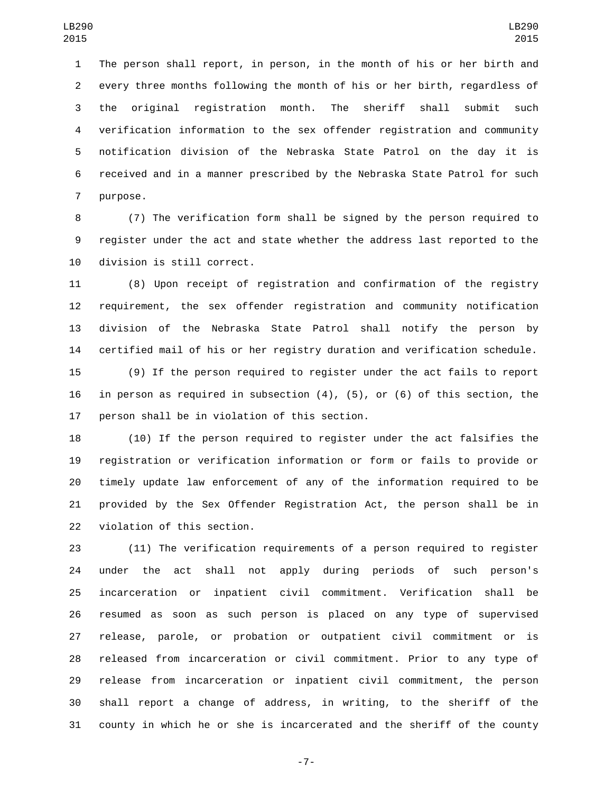The person shall report, in person, in the month of his or her birth and every three months following the month of his or her birth, regardless of the original registration month. The sheriff shall submit such verification information to the sex offender registration and community notification division of the Nebraska State Patrol on the day it is received and in a manner prescribed by the Nebraska State Patrol for such 7 purpose.

 (7) The verification form shall be signed by the person required to register under the act and state whether the address last reported to the 10 division is still correct.

 (8) Upon receipt of registration and confirmation of the registry requirement, the sex offender registration and community notification division of the Nebraska State Patrol shall notify the person by certified mail of his or her registry duration and verification schedule.

 (9) If the person required to register under the act fails to report in person as required in subsection (4), (5), or (6) of this section, the 17 person shall be in violation of this section.

 (10) If the person required to register under the act falsifies the registration or verification information or form or fails to provide or timely update law enforcement of any of the information required to be provided by the Sex Offender Registration Act, the person shall be in 22 violation of this section.

 (11) The verification requirements of a person required to register under the act shall not apply during periods of such person's incarceration or inpatient civil commitment. Verification shall be resumed as soon as such person is placed on any type of supervised release, parole, or probation or outpatient civil commitment or is released from incarceration or civil commitment. Prior to any type of release from incarceration or inpatient civil commitment, the person shall report a change of address, in writing, to the sheriff of the county in which he or she is incarcerated and the sheriff of the county

-7-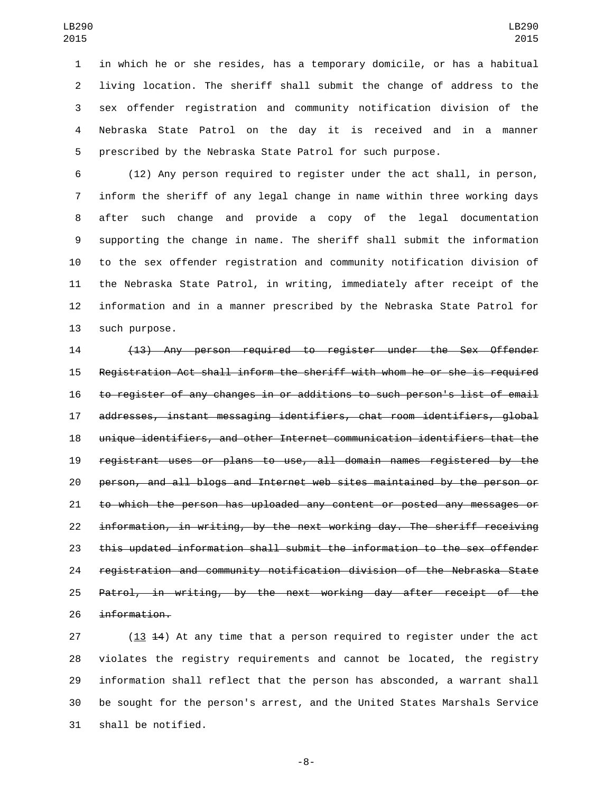in which he or she resides, has a temporary domicile, or has a habitual living location. The sheriff shall submit the change of address to the sex offender registration and community notification division of the Nebraska State Patrol on the day it is received and in a manner prescribed by the Nebraska State Patrol for such purpose.

 (12) Any person required to register under the act shall, in person, inform the sheriff of any legal change in name within three working days after such change and provide a copy of the legal documentation supporting the change in name. The sheriff shall submit the information to the sex offender registration and community notification division of the Nebraska State Patrol, in writing, immediately after receipt of the information and in a manner prescribed by the Nebraska State Patrol for 13 such purpose.

 (13) Any person required to register under the Sex Offender Registration Act shall inform the sheriff with whom he or she is required to register of any changes in or additions to such person's list of email addresses, instant messaging identifiers, chat room identifiers, global unique identifiers, and other Internet communication identifiers that the registrant uses or plans to use, all domain names registered by the person, and all blogs and Internet web sites maintained by the person or to which the person has uploaded any content or posted any messages or information, in writing, by the next working day. The sheriff receiving this updated information shall submit the information to the sex offender registration and community notification division of the Nebraska State Patrol, in writing, by the next working day after receipt of the 26 information.

 (13 14) At any time that a person required to register under the act violates the registry requirements and cannot be located, the registry information shall reflect that the person has absconded, a warrant shall be sought for the person's arrest, and the United States Marshals Service 31 shall be notified.

-8-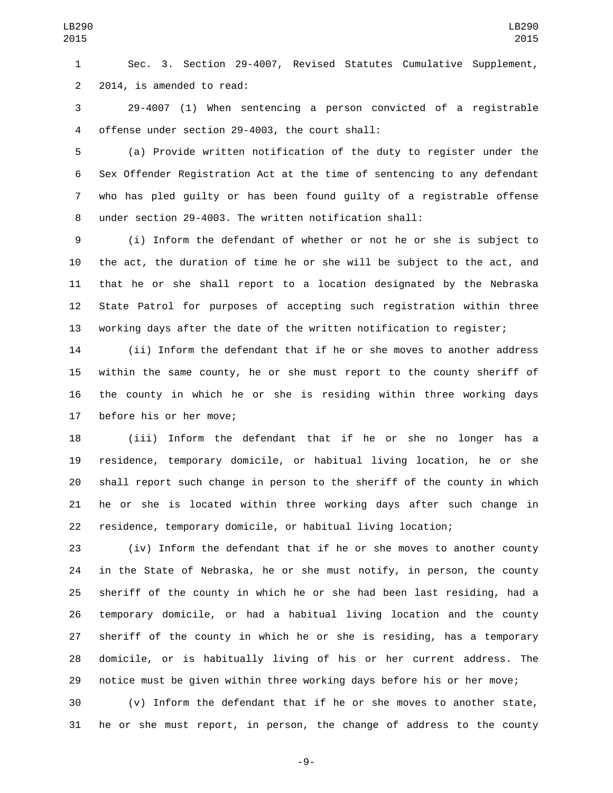Sec. 3. Section 29-4007, Revised Statutes Cumulative Supplement, 2 2014, is amended to read:

 29-4007 (1) When sentencing a person convicted of a registrable 4 offense under section 29-4003, the court shall:

 (a) Provide written notification of the duty to register under the Sex Offender Registration Act at the time of sentencing to any defendant who has pled guilty or has been found guilty of a registrable offense under section 29-4003. The written notification shall:

 (i) Inform the defendant of whether or not he or she is subject to the act, the duration of time he or she will be subject to the act, and that he or she shall report to a location designated by the Nebraska State Patrol for purposes of accepting such registration within three working days after the date of the written notification to register;

 (ii) Inform the defendant that if he or she moves to another address within the same county, he or she must report to the county sheriff of the county in which he or she is residing within three working days 17 before his or her move;

 (iii) Inform the defendant that if he or she no longer has a residence, temporary domicile, or habitual living location, he or she shall report such change in person to the sheriff of the county in which he or she is located within three working days after such change in residence, temporary domicile, or habitual living location;

 (iv) Inform the defendant that if he or she moves to another county in the State of Nebraska, he or she must notify, in person, the county sheriff of the county in which he or she had been last residing, had a temporary domicile, or had a habitual living location and the county sheriff of the county in which he or she is residing, has a temporary domicile, or is habitually living of his or her current address. The notice must be given within three working days before his or her move;

 (v) Inform the defendant that if he or she moves to another state, he or she must report, in person, the change of address to the county

-9-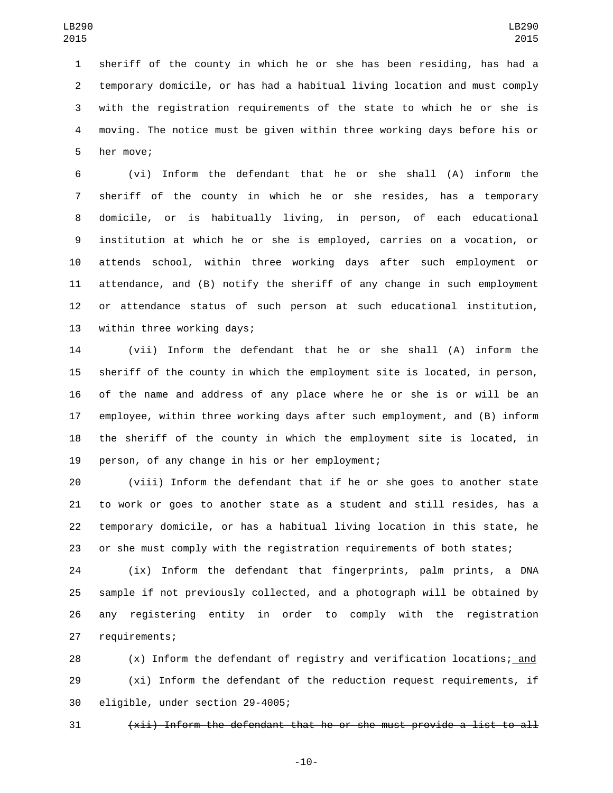sheriff of the county in which he or she has been residing, has had a temporary domicile, or has had a habitual living location and must comply with the registration requirements of the state to which he or she is moving. The notice must be given within three working days before his or 5 her move;

 (vi) Inform the defendant that he or she shall (A) inform the sheriff of the county in which he or she resides, has a temporary domicile, or is habitually living, in person, of each educational institution at which he or she is employed, carries on a vocation, or attends school, within three working days after such employment or attendance, and (B) notify the sheriff of any change in such employment or attendance status of such person at such educational institution, 13 within three working days;

 (vii) Inform the defendant that he or she shall (A) inform the sheriff of the county in which the employment site is located, in person, of the name and address of any place where he or she is or will be an employee, within three working days after such employment, and (B) inform the sheriff of the county in which the employment site is located, in 19 person, of any change in his or her employment;

 (viii) Inform the defendant that if he or she goes to another state to work or goes to another state as a student and still resides, has a temporary domicile, or has a habitual living location in this state, he or she must comply with the registration requirements of both states;

 (ix) Inform the defendant that fingerprints, palm prints, a DNA sample if not previously collected, and a photograph will be obtained by any registering entity in order to comply with the registration 27 requirements;

 (x) Inform the defendant of registry and verification locations; and (xi) Inform the defendant of the reduction request requirements, if 30 eligible, under section 29-4005;

(xii) Inform the defendant that he or she must provide a list to all

-10-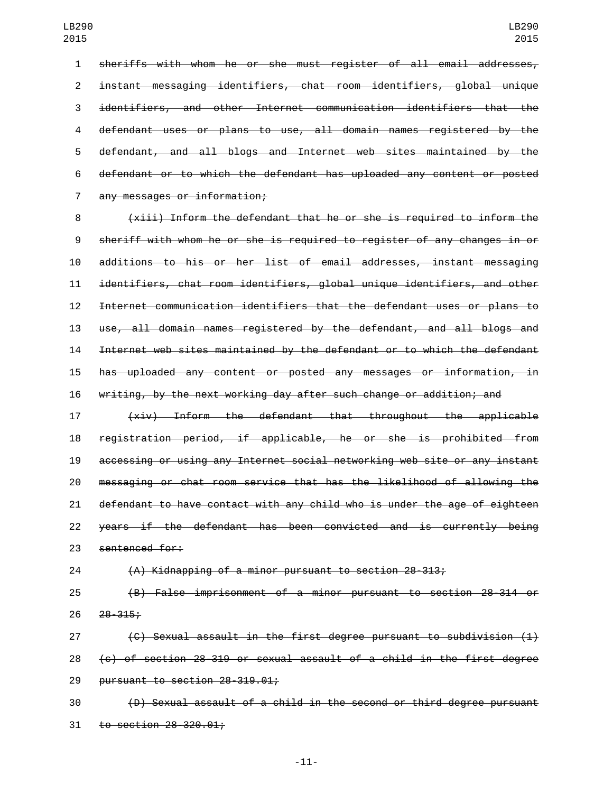sheriffs with whom he or she must register of all email addresses, instant messaging identifiers, chat room identifiers, global unique identifiers, and other Internet communication identifiers that the defendant uses or plans to use, all domain names registered by the defendant, and all blogs and Internet web sites maintained by the defendant or to which the defendant has uploaded any content or posted 7 any messages or information;

 (xiii) Inform the defendant that he or she is required to inform the sheriff with whom he or she is required to register of any changes in or additions to his or her list of email addresses, instant messaging identifiers, chat room identifiers, global unique identifiers, and other Internet communication identifiers that the defendant uses or plans to use, all domain names registered by the defendant, and all blogs and Internet web sites maintained by the defendant or to which the defendant has uploaded any content or posted any messages or information, in writing, by the next working day after such change or addition; and

 (xiv) Inform the defendant that throughout the applicable registration period, if applicable, he or she is prohibited from accessing or using any Internet social networking web site or any instant messaging or chat room service that has the likelihood of allowing the defendant to have contact with any child who is under the age of eighteen years if the defendant has been convicted and is currently being 23 sentenced for:

(A) Kidnapping of a minor pursuant to section 28-313;

 (B) False imprisonment of a minor pursuant to section 28-314 or 26 28-315;

 (C) Sexual assault in the first degree pursuant to subdivision (1) 28  $\left\{ \epsilon \right\}$  of section 28-319 or sexual assault of a child in the first degree 29 pursuant to section  $28-319.01$ ;

 (D) Sexual assault of a child in the second or third degree pursuant to section  $28 - 320.01$ ;

-11-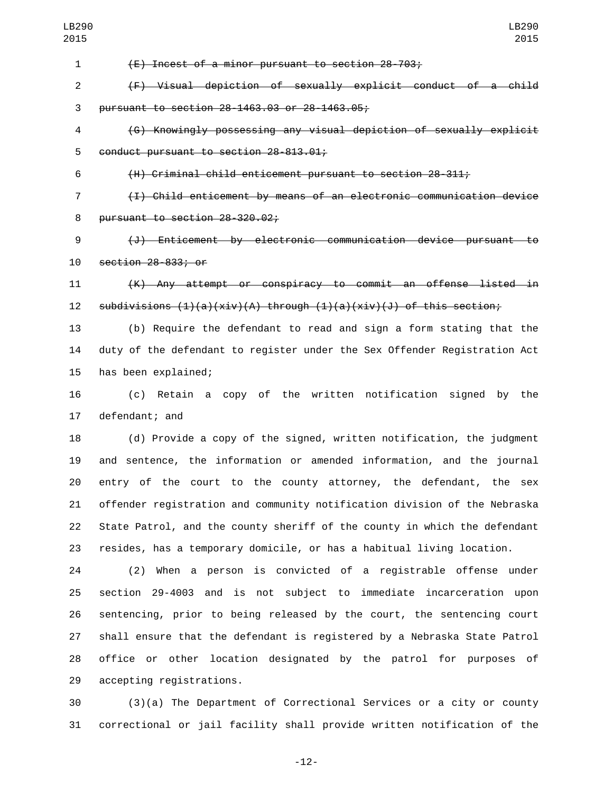| ט⊥ט׳           | לד∂∠                                                                      |
|----------------|---------------------------------------------------------------------------|
| $\mathbf{1}$   | (E) Incest of a minor pursuant to section 28-703;                         |
| $\overline{2}$ | (F) Visual depiction of sexually explicit conduct of a child              |
| 3              | pursuant to section 28-1463.03 or 28-1463.05;                             |
| 4              | (G) Knowingly possessing any visual depiction of sexually explicit        |
| 5              | conduct pursuant to section 28-813.01;                                    |
| 6              | (H) Criminal child enticement pursuant to section 28-311;                 |
| $\overline{7}$ | (I) Child enticement by means of an electronic communication device       |
| 8              | pursuant to section 28-320.02;                                            |
| 9              | (J) Enticement by electronic communication device pursuant to             |
| 10             | section 28-833; or                                                        |
| 11             | (K) Any attempt or conspiracy to commit an offense listed in              |
| 12             | subdivisions $(1)(a)(xiv)(A)$ through $(1)(a)(xiv)(J)$ of this section;   |
| 13             | (b) Require the defendant to read and sign a form stating that the        |
| 14             | duty of the defendant to register under the Sex Offender Registration Act |
| 15             | has been explained;                                                       |
| 16             | (c) Retain a copy of the written notification signed<br>by<br>the         |
| 17             | defendant; and                                                            |
| 18             | (d) Provide a copy of the signed, written notification, the judgment      |
| 19             | and sentence, the information or amended information, and the journal     |
| 20             | entry of the court to the county attorney, the defendant, the sex         |
| 21             | offender registration and community notification division of the Nebraska |
| 22             | State Patrol, and the county sheriff of the county in which the defendant |
| 23             | resides, has a temporary domicile, or has a habitual living location.     |
| 24             | (2) When a person is convicted of a registrable offense under             |
| 25             | section 29-4003 and is not subject to immediate incarceration upon        |
| 26             | sentencing, prior to being released by the court, the sentencing court    |
| 27             | shall ensure that the defendant is registered by a Nebraska State Patrol  |
| 28             | office or other location designated by the patrol for purposes of         |
| 29             | accepting registrations.                                                  |
| 30             | $(3)(a)$ The Department of Correctional Services or a city or county      |
| 31             | correctional or jail facility shall provide written notification of the   |

-12-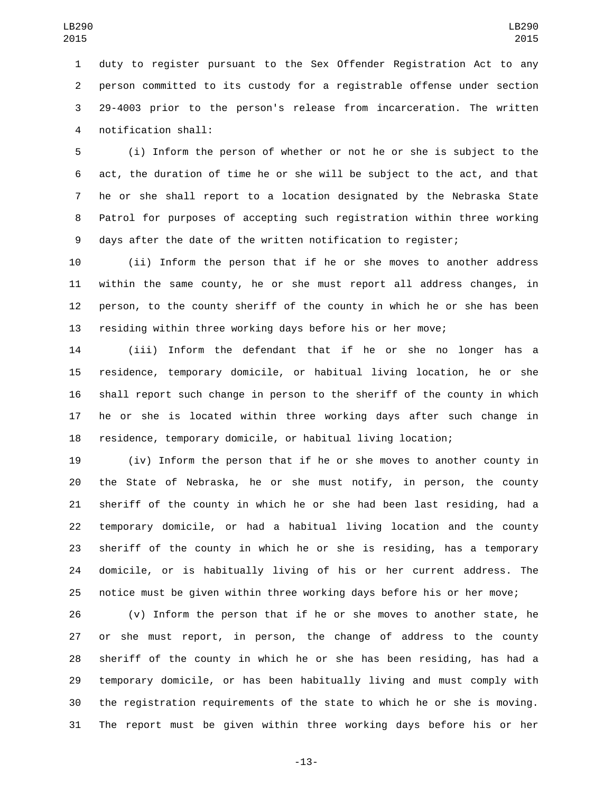duty to register pursuant to the Sex Offender Registration Act to any person committed to its custody for a registrable offense under section 29-4003 prior to the person's release from incarceration. The written notification shall:4

 (i) Inform the person of whether or not he or she is subject to the act, the duration of time he or she will be subject to the act, and that he or she shall report to a location designated by the Nebraska State Patrol for purposes of accepting such registration within three working days after the date of the written notification to register;

 (ii) Inform the person that if he or she moves to another address within the same county, he or she must report all address changes, in person, to the county sheriff of the county in which he or she has been residing within three working days before his or her move;

 (iii) Inform the defendant that if he or she no longer has a residence, temporary domicile, or habitual living location, he or she shall report such change in person to the sheriff of the county in which he or she is located within three working days after such change in residence, temporary domicile, or habitual living location;

 (iv) Inform the person that if he or she moves to another county in the State of Nebraska, he or she must notify, in person, the county sheriff of the county in which he or she had been last residing, had a temporary domicile, or had a habitual living location and the county sheriff of the county in which he or she is residing, has a temporary domicile, or is habitually living of his or her current address. The notice must be given within three working days before his or her move;

 (v) Inform the person that if he or she moves to another state, he or she must report, in person, the change of address to the county sheriff of the county in which he or she has been residing, has had a temporary domicile, or has been habitually living and must comply with the registration requirements of the state to which he or she is moving. The report must be given within three working days before his or her

-13-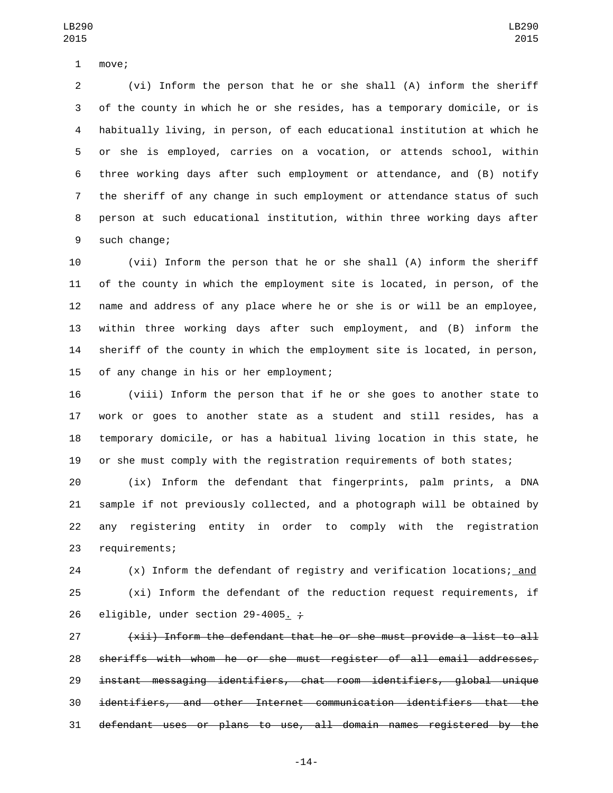1 move;

 (vi) Inform the person that he or she shall (A) inform the sheriff of the county in which he or she resides, has a temporary domicile, or is habitually living, in person, of each educational institution at which he or she is employed, carries on a vocation, or attends school, within three working days after such employment or attendance, and (B) notify the sheriff of any change in such employment or attendance status of such person at such educational institution, within three working days after 9 such change;

 (vii) Inform the person that he or she shall (A) inform the sheriff of the county in which the employment site is located, in person, of the name and address of any place where he or she is or will be an employee, within three working days after such employment, and (B) inform the sheriff of the county in which the employment site is located, in person, 15 of any change in his or her employment;

 (viii) Inform the person that if he or she goes to another state to work or goes to another state as a student and still resides, has a temporary domicile, or has a habitual living location in this state, he or she must comply with the registration requirements of both states;

 (ix) Inform the defendant that fingerprints, palm prints, a DNA sample if not previously collected, and a photograph will be obtained by any registering entity in order to comply with the registration 23 requirements;

 (x) Inform the defendant of registry and verification locations; and (xi) Inform the defendant of the reduction request requirements, if 26 eligible, under section 29-4005.  $\div$ 

 (xii) Inform the defendant that he or she must provide a list to all sheriffs with whom he or she must register of all email addresses, instant messaging identifiers, chat room identifiers, global unique identifiers, and other Internet communication identifiers that the defendant uses or plans to use, all domain names registered by the

-14-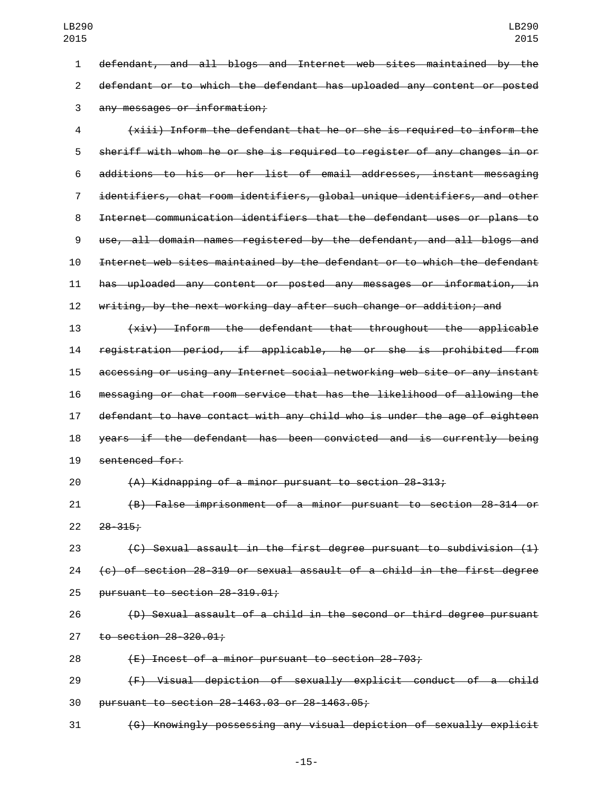defendant, and all blogs and Internet web sites maintained by the defendant or to which the defendant has uploaded any content or posted any messages or information;3 (xiii) Inform the defendant that he or she is required to inform the sheriff with whom he or she is required to register of any changes in or additions to his or her list of email addresses, instant messaging

 identifiers, chat room identifiers, global unique identifiers, and other Internet communication identifiers that the defendant uses or plans to use, all domain names registered by the defendant, and all blogs and Internet web sites maintained by the defendant or to which the defendant has uploaded any content or posted any messages or information, in writing, by the next working day after such change or addition; and

 (xiv) Inform the defendant that throughout the applicable registration period, if applicable, he or she is prohibited from accessing or using any Internet social networking web site or any instant messaging or chat room service that has the likelihood of allowing the defendant to have contact with any child who is under the age of eighteen years if the defendant has been convicted and is currently being 19 sentenced for:

(A) Kidnapping of a minor pursuant to section 28-313;

 (B) False imprisonment of a minor pursuant to section 28-314 or  $22 \quad 28 - 315$ ;

 (C) Sexual assault in the first degree pursuant to subdivision (1) 24  $\left\{ \epsilon \right\}$  of section 28-319 or sexual assault of a child in the first degree 25 pursuant to section  $28-319.01$ ;

 (D) Sexual assault of a child in the second or third degree pursuant 27 to section 28-320.01;

(E) Incest of a minor pursuant to section 28-703;

 (F) Visual depiction of sexually explicit conduct of a child 30 pursuant to section 28-1463.03 or 28-1463.05;

(G) Knowingly possessing any visual depiction of sexually explicit